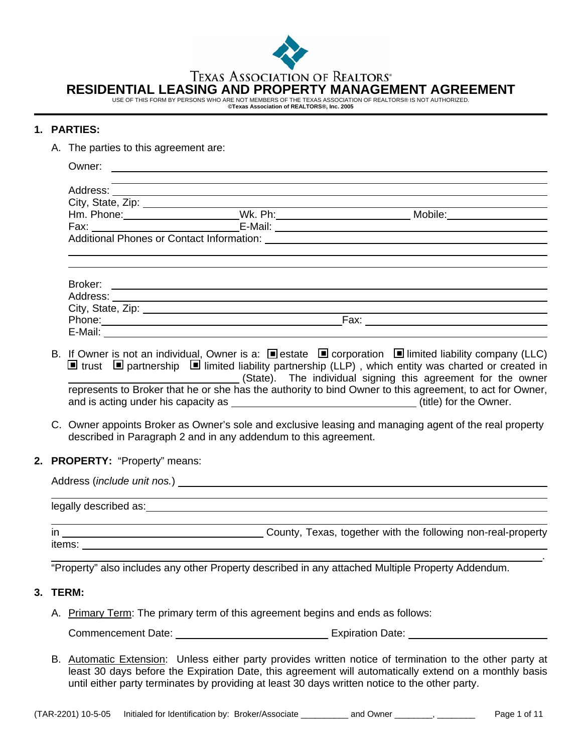

**TEXAS ASSOCIATION OF REALTORS®** 

**RESIDENTIAL LEASING AND PROPERTY MANAGEMENT AGREEMENT** 

USE OF THIS FORM BY PERSONS WHO ARE NOT MEMBERS OF THE TEXAS ASSOCIATION OF REALTORS® IS NOT AUTHORIZED. **©Texas Association of REALTORS®, Inc. 2005** 

### **1. PARTIES:**

A. The parties to this agreement are:

|                                                                                                                                                                                                                                | Owner:                         | <u> 1989 - Johann Harry Barn, mars and deutscher Schwarzer († 1951)</u>                                                                                                                                                        |                                                                                                                                                                                                                                                                                                                                                                                                                                                                                                                                                                                   |  |  |  |
|--------------------------------------------------------------------------------------------------------------------------------------------------------------------------------------------------------------------------------|--------------------------------|--------------------------------------------------------------------------------------------------------------------------------------------------------------------------------------------------------------------------------|-----------------------------------------------------------------------------------------------------------------------------------------------------------------------------------------------------------------------------------------------------------------------------------------------------------------------------------------------------------------------------------------------------------------------------------------------------------------------------------------------------------------------------------------------------------------------------------|--|--|--|
|                                                                                                                                                                                                                                |                                | and the control of the control of the control of the control of the control of the control of the control of the                                                                                                               |                                                                                                                                                                                                                                                                                                                                                                                                                                                                                                                                                                                   |  |  |  |
|                                                                                                                                                                                                                                |                                |                                                                                                                                                                                                                                |                                                                                                                                                                                                                                                                                                                                                                                                                                                                                                                                                                                   |  |  |  |
|                                                                                                                                                                                                                                |                                |                                                                                                                                                                                                                                |                                                                                                                                                                                                                                                                                                                                                                                                                                                                                                                                                                                   |  |  |  |
|                                                                                                                                                                                                                                |                                |                                                                                                                                                                                                                                | $E-Mail:$                                                                                                                                                                                                                                                                                                                                                                                                                                                                                                                                                                         |  |  |  |
|                                                                                                                                                                                                                                |                                |                                                                                                                                                                                                                                |                                                                                                                                                                                                                                                                                                                                                                                                                                                                                                                                                                                   |  |  |  |
|                                                                                                                                                                                                                                |                                |                                                                                                                                                                                                                                |                                                                                                                                                                                                                                                                                                                                                                                                                                                                                                                                                                                   |  |  |  |
|                                                                                                                                                                                                                                |                                |                                                                                                                                                                                                                                |                                                                                                                                                                                                                                                                                                                                                                                                                                                                                                                                                                                   |  |  |  |
|                                                                                                                                                                                                                                |                                |                                                                                                                                                                                                                                |                                                                                                                                                                                                                                                                                                                                                                                                                                                                                                                                                                                   |  |  |  |
|                                                                                                                                                                                                                                |                                |                                                                                                                                                                                                                                |                                                                                                                                                                                                                                                                                                                                                                                                                                                                                                                                                                                   |  |  |  |
|                                                                                                                                                                                                                                |                                | described in Paragraph 2 and in any addendum to this agreement.                                                                                                                                                                | B. If Owner is not an individual, Owner is a: $\blacksquare$ estate $\blacksquare$ corporation $\blacksquare$ limited liability company (LLC)<br>$\blacksquare$ trust $\blacksquare$ partnership $\blacksquare$ limited liability partnership (LLP), which entity was charted or created in<br>(State). The individual signing this agreement for the owner<br>represents to Broker that he or she has the authority to bind Owner to this agreement, to act for Owner,<br>C. Owner appoints Broker as Owner's sole and exclusive leasing and managing agent of the real property |  |  |  |
|                                                                                                                                                                                                                                | 2. PROPERTY: "Property" means: |                                                                                                                                                                                                                                |                                                                                                                                                                                                                                                                                                                                                                                                                                                                                                                                                                                   |  |  |  |
| Address (include unit nos.) example and the set of the set of the set of the set of the set of the set of the set of the set of the set of the set of the set of the set of the set of the set of the set of the set of the se |                                |                                                                                                                                                                                                                                |                                                                                                                                                                                                                                                                                                                                                                                                                                                                                                                                                                                   |  |  |  |
|                                                                                                                                                                                                                                |                                |                                                                                                                                                                                                                                |                                                                                                                                                                                                                                                                                                                                                                                                                                                                                                                                                                                   |  |  |  |
|                                                                                                                                                                                                                                |                                |                                                                                                                                                                                                                                |                                                                                                                                                                                                                                                                                                                                                                                                                                                                                                                                                                                   |  |  |  |
|                                                                                                                                                                                                                                |                                | items: when the contract of the contract of the contract of the contract of the contract of the contract of the contract of the contract of the contract of the contract of the contract of the contract of the contract of th |                                                                                                                                                                                                                                                                                                                                                                                                                                                                                                                                                                                   |  |  |  |
|                                                                                                                                                                                                                                |                                |                                                                                                                                                                                                                                | "Property" also includes any other Property described in any attached Multiple Property Addendum.                                                                                                                                                                                                                                                                                                                                                                                                                                                                                 |  |  |  |
|                                                                                                                                                                                                                                | 3. TERM:                       |                                                                                                                                                                                                                                |                                                                                                                                                                                                                                                                                                                                                                                                                                                                                                                                                                                   |  |  |  |
|                                                                                                                                                                                                                                |                                | A. Primary Term: The primary term of this agreement begins and ends as follows:                                                                                                                                                |                                                                                                                                                                                                                                                                                                                                                                                                                                                                                                                                                                                   |  |  |  |

Commencement Date: Commencement Date:

B. Automatic Extension: Unless either party provides written notice of termination to the other party at least 30 days before the Expiration Date, this agreement will automatically extend on a monthly basis until either party terminates by providing at least 30 days written notice to the other party.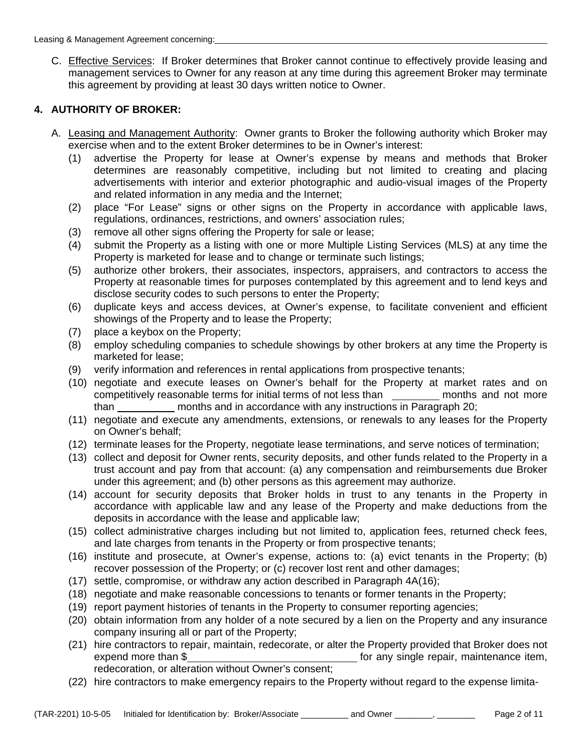C. Effective Services: If Broker determines that Broker cannot continue to effectively provide leasing and management services to Owner for any reason at any time during this agreement Broker may terminate this agreement by providing at least 30 days written notice to Owner.

# **4. AUTHORITY OF BROKER:**

- A. Leasing and Management Authority: Owner grants to Broker the following authority which Broker may exercise when and to the extent Broker determines to be in Owner's interest:
	- (1) advertise the Property for lease at Owner's expense by means and methods that Broker determines are reasonably competitive, including but not limited to creating and placing advertisements with interior and exterior photographic and audio-visual images of the Property and related information in any media and the Internet;
	- (2) place "For Lease" signs or other signs on the Property in accordance with applicable laws, regulations, ordinances, restrictions, and owners' association rules;
	- (3) remove all other signs offering the Property for sale or lease;
	- (4) submit the Property as a listing with one or more Multiple Listing Services (MLS) at any time the Property is marketed for lease and to change or terminate such listings;
	- (5) authorize other brokers, their associates, inspectors, appraisers, and contractors to access the Property at reasonable times for purposes contemplated by this agreement and to lend keys and disclose security codes to such persons to enter the Property;
	- (6) duplicate keys and access devices, at Owner's expense, to facilitate convenient and efficient showings of the Property and to lease the Property;
	- (7) place a keybox on the Property;
	- (8) employ scheduling companies to schedule showings by other brokers at any time the Property is marketed for lease;
	- (9) verify information and references in rental applications from prospective tenants;
	- (10) negotiate and execute leases on Owner's behalf for the Property at market rates and on competitively reasonable terms for initial terms of not less than wicker months and not more than **contrary months and in accordance with any instructions in Paragraph 20;**
	- (11) negotiate and execute any amendments, extensions, or renewals to any leases for the Property on Owner's behalf;
	- (12) terminate leases for the Property, negotiate lease terminations, and serve notices of termination;
	- (13) collect and deposit for Owner rents, security deposits, and other funds related to the Property in a trust account and pay from that account: (a) any compensation and reimbursements due Broker under this agreement; and (b) other persons as this agreement may authorize.
	- (14) account for security deposits that Broker holds in trust to any tenants in the Property in accordance with applicable law and any lease of the Property and make deductions from the deposits in accordance with the lease and applicable law;
	- (15) collect administrative charges including but not limited to, application fees, returned check fees, and late charges from tenants in the Property or from prospective tenants;
	- (16) institute and prosecute, at Owner's expense, actions to: (a) evict tenants in the Property; (b) recover possession of the Property; or (c) recover lost rent and other damages;
	- (17) settle, compromise, or withdraw any action described in Paragraph 4A(16);
	- (18) negotiate and make reasonable concessions to tenants or former tenants in the Property;
	- (19) report payment histories of tenants in the Property to consumer reporting agencies;
	- (20) obtain information from any holder of a note secured by a lien on the Property and any insurance company insuring all or part of the Property;
	- (21) hire contractors to repair, maintain, redecorate, or alter the Property provided that Broker does not expend more than \$ for any single repair, maintenance item, redecoration, or alteration without Owner's consent;
	- (22) hire contractors to make emergency repairs to the Property without regard to the expense limita-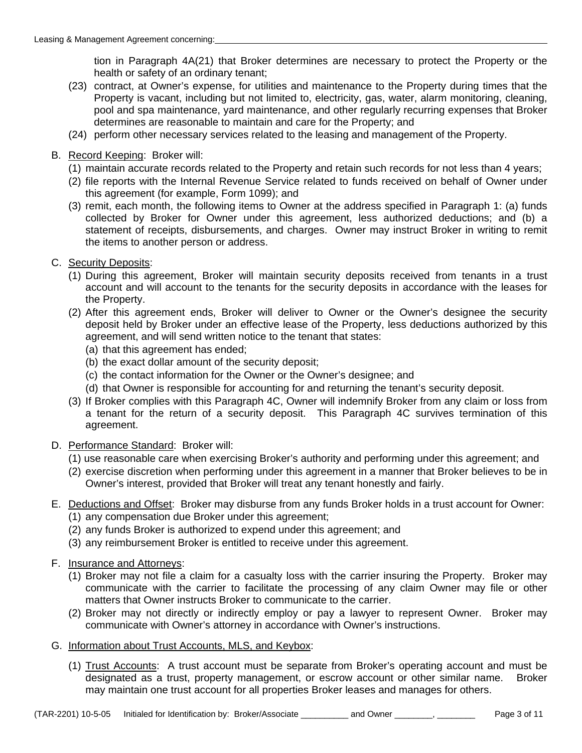tion in Paragraph 4A(21) that Broker determines are necessary to protect the Property or the health or safety of an ordinary tenant;

- (23) contract, at Owner's expense, for utilities and maintenance to the Property during times that the Property is vacant, including but not limited to, electricity, gas, water, alarm monitoring, cleaning, pool and spa maintenance, yard maintenance, and other regularly recurring expenses that Broker determines are reasonable to maintain and care for the Property; and
- (24) perform other necessary services related to the leasing and management of the Property.
- B. Record Keeping: Broker will:
	- (1) maintain accurate records related to the Property and retain such records for not less than 4 years;
	- (2) file reports with the Internal Revenue Service related to funds received on behalf of Owner under this agreement (for example, Form 1099); and
	- (3) remit, each month, the following items to Owner at the address specified in Paragraph 1: (a) funds collected by Broker for Owner under this agreement, less authorized deductions; and (b) a statement of receipts, disbursements, and charges. Owner may instruct Broker in writing to remit the items to another person or address.
- C. Security Deposits:
	- (1) During this agreement, Broker will maintain security deposits received from tenants in a trust account and will account to the tenants for the security deposits in accordance with the leases for the Property.
	- (2) After this agreement ends, Broker will deliver to Owner or the Owner's designee the security deposit held by Broker under an effective lease of the Property, less deductions authorized by this agreement, and will send written notice to the tenant that states:
		- (a) that this agreement has ended;
		- (b) the exact dollar amount of the security deposit;
		- (c) the contact information for the Owner or the Owner's designee; and
		- (d) that Owner is responsible for accounting for and returning the tenant's security deposit.
	- (3) If Broker complies with this Paragraph 4C, Owner will indemnify Broker from any claim or loss from a tenant for the return of a security deposit. This Paragraph 4C survives termination of this agreement.
- D. Performance Standard: Broker will:
	- (1) use reasonable care when exercising Broker's authority and performing under this agreement; and
	- (2) exercise discretion when performing under this agreement in a manner that Broker believes to be in Owner's interest, provided that Broker will treat any tenant honestly and fairly.
- E. Deductions and Offset: Broker may disburse from any funds Broker holds in a trust account for Owner:
	- (1) any compensation due Broker under this agreement;
	- (2) any funds Broker is authorized to expend under this agreement; and
	- (3) any reimbursement Broker is entitled to receive under this agreement.
- F. Insurance and Attorneys:
	- (1) Broker may not file a claim for a casualty loss with the carrier insuring the Property. Broker may communicate with the carrier to facilitate the processing of any claim Owner may file or other matters that Owner instructs Broker to communicate to the carrier.
	- (2) Broker may not directly or indirectly employ or pay a lawyer to represent Owner. Broker may communicate with Owner's attorney in accordance with Owner's instructions.
- G. Information about Trust Accounts, MLS, and Keybox:
	- (1) Trust Accounts: A trust account must be separate from Broker's operating account and must be designated as a trust, property management, or escrow account or other similar name. Broker may maintain one trust account for all properties Broker leases and manages for others.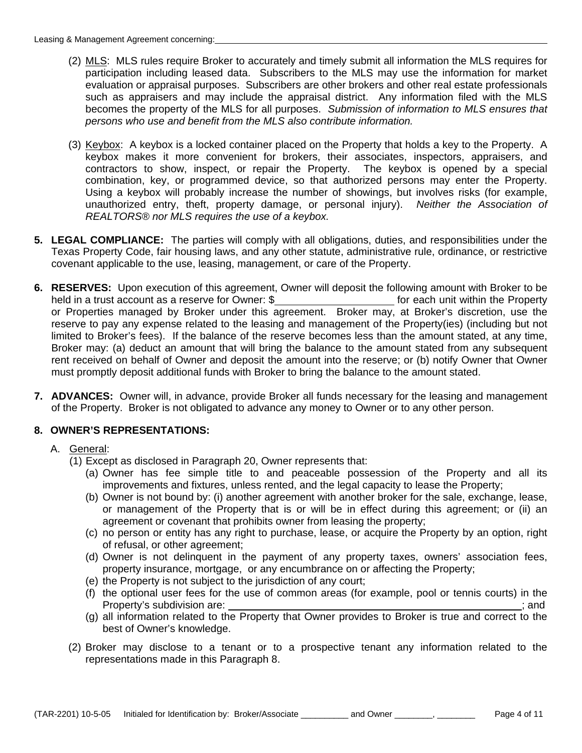- (2) MLS: MLS rules require Broker to accurately and timely submit all information the MLS requires for participation including leased data. Subscribers to the MLS may use the information for market evaluation or appraisal purposes. Subscribers are other brokers and other real estate professionals such as appraisers and may include the appraisal district. Any information filed with the MLS becomes the property of the MLS for all purposes. *Submission of information to MLS ensures that persons who use and benefit from the MLS also contribute information.*
- (3) Keybox: A keybox is a locked container placed on the Property that holds a key to the Property. A keybox makes it more convenient for brokers, their associates, inspectors, appraisers, and contractors to show, inspect, or repair the Property. The keybox is opened by a special combination, key, or programmed device, so that authorized persons may enter the Property. Using a keybox will probably increase the number of showings, but involves risks (for example, unauthorized entry, theft, property damage, or personal injury). *Neither the Association of REALTORS® nor MLS requires the use of a keybox.*
- **5. LEGAL COMPLIANCE:** The parties will comply with all obligations, duties, and responsibilities under the Texas Property Code, fair housing laws, and any other statute, administrative rule, ordinance, or restrictive covenant applicable to the use, leasing, management, or care of the Property.
- **6. RESERVES:** Upon execution of this agreement, Owner will deposit the following amount with Broker to be held in a trust account as a reserve for Owner: \$ or Properties managed by Broker under this agreement. Broker may, at Broker's discretion, use the reserve to pay any expense related to the leasing and management of the Property(ies) (including but not limited to Broker's fees). If the balance of the reserve becomes less than the amount stated, at any time, Broker may: (a) deduct an amount that will bring the balance to the amount stated from any subsequent rent received on behalf of Owner and deposit the amount into the reserve; or (b) notify Owner that Owner must promptly deposit additional funds with Broker to bring the balance to the amount stated.
- **7. ADVANCES:** Owner will, in advance, provide Broker all funds necessary for the leasing and management of the Property. Broker is not obligated to advance any money to Owner or to any other person.

## **8. OWNER'S REPRESENTATIONS:**

#### A. General:

- (1) Except as disclosed in Paragraph 20, Owner represents that:
	- (a) Owner has fee simple title to and peaceable possession of the Property and all its improvements and fixtures, unless rented, and the legal capacity to lease the Property;
	- (b) Owner is not bound by: (i) another agreement with another broker for the sale, exchange, lease, or management of the Property that is or will be in effect during this agreement; or (ii) an agreement or covenant that prohibits owner from leasing the property;
	- (c) no person or entity has any right to purchase, lease, or acquire the Property by an option, right of refusal, or other agreement;
	- (d) Owner is not delinquent in the payment of any property taxes, owners' association fees, property insurance, mortgage, or any encumbrance on or affecting the Property;
	- (e) the Property is not subject to the jurisdiction of any court;
	- (f) the optional user fees for the use of common areas (for example, pool or tennis courts) in the Property's subdivision are: ; and
- (g) all information related to the Property that Owner provides to Broker is true and correct to the best of Owner's knowledge.
	- (2) Broker may disclose to a tenant or to a prospective tenant any information related to the representations made in this Paragraph 8.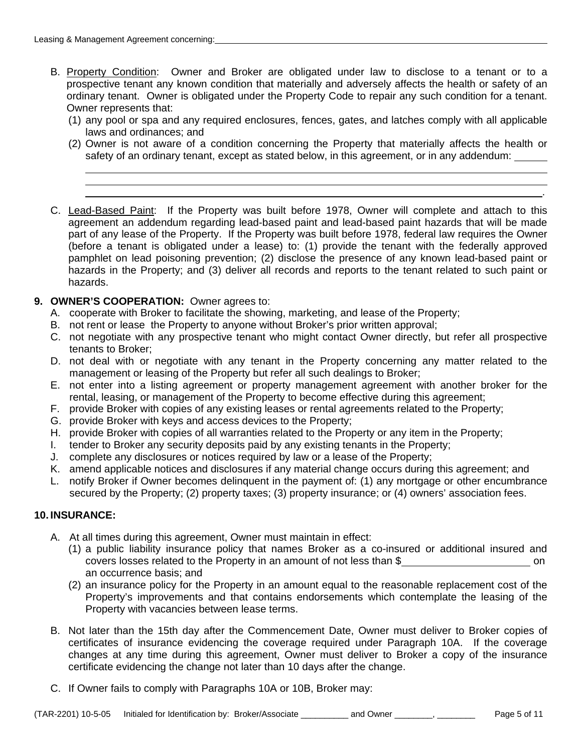$\overline{a}$ 

- B. Property Condition: Owner and Broker are obligated under law to disclose to a tenant or to a prospective tenant any known condition that materially and adversely affects the health or safety of an ordinary tenant. Owner is obligated under the Property Code to repair any such condition for a tenant. Owner represents that:
	- (1) any pool or spa and any required enclosures, fences, gates, and latches comply with all applicable laws and ordinances; and
	- (2) Owner is not aware of a condition concerning the Property that materially affects the health or safety of an ordinary tenant, except as stated below, in this agreement, or in any addendum:

<u>. Andre de la contrada de la contrada de la contrada de la contrada de la contrada de la contrada de la contra</u>

- C. Lead-Based Paint: If the Property was built before 1978, Owner will complete and attach to this agreement an addendum regarding lead-based paint and lead-based paint hazards that will be made part of any lease of the Property. If the Property was built before 1978, federal law requires the Owner (before a tenant is obligated under a lease) to: (1) provide the tenant with the federally approved pamphlet on lead poisoning prevention; (2) disclose the presence of any known lead-based paint or hazards in the Property; and (3) deliver all records and reports to the tenant related to such paint or hazards.
- **9. OWNER'S COOPERATION:** Owner agrees to:
	- A. cooperate with Broker to facilitate the showing, marketing, and lease of the Property;
	- B. not rent or lease the Property to anyone without Broker's prior written approval;
	- C. not negotiate with any prospective tenant who might contact Owner directly, but refer all prospective tenants to Broker;
	- D. not deal with or negotiate with any tenant in the Property concerning any matter related to the management or leasing of the Property but refer all such dealings to Broker;
	- E. not enter into a listing agreement or property management agreement with another broker for the rental, leasing, or management of the Property to become effective during this agreement;
	- F. provide Broker with copies of any existing leases or rental agreements related to the Property;
	- G. provide Broker with keys and access devices to the Property;
	- H. provide Broker with copies of all warranties related to the Property or any item in the Property;
	- I. tender to Broker any security deposits paid by any existing tenants in the Property;
	- J. complete any disclosures or notices required by law or a lease of the Property;
	- K. amend applicable notices and disclosures if any material change occurs during this agreement; and
	- L. notify Broker if Owner becomes delinquent in the payment of: (1) any mortgage or other encumbrance secured by the Property; (2) property taxes; (3) property insurance; or (4) owners' association fees.

#### **10. INSURANCE:**

- A. At all times during this agreement, Owner must maintain in effect:
	- (1) a public liability insurance policy that names Broker as a co-insured or additional insured and covers losses related to the Property in an amount of not less than \$ on an occurrence basis; and
	- (2) an insurance policy for the Property in an amount equal to the reasonable replacement cost of the Property's improvements and that contains endorsements which contemplate the leasing of the Property with vacancies between lease terms.
- B. Not later than the 15th day after the Commencement Date, Owner must deliver to Broker copies of certificates of insurance evidencing the coverage required under Paragraph 10A. If the coverage changes at any time during this agreement, Owner must deliver to Broker a copy of the insurance certificate evidencing the change not later than 10 days after the change.
- C. If Owner fails to comply with Paragraphs 10A or 10B, Broker may: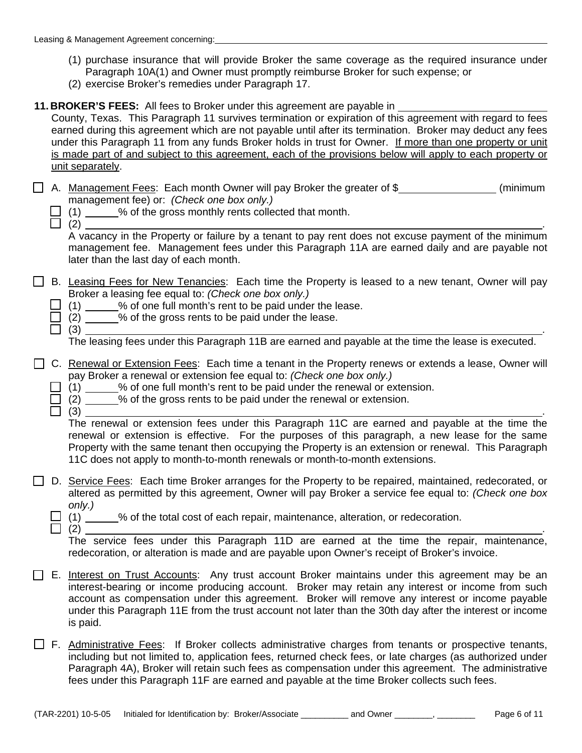- (1) purchase insurance that will provide Broker the same coverage as the required insurance under Paragraph 10A(1) and Owner must promptly reimburse Broker for such expense; or
- (2) exercise Broker's remedies under Paragraph 17.
- **11. BROKER'S FEES:** All fees to Broker under this agreement are payable in

County, Texas. This Paragraph 11 survives termination or expiration of this agreement with regard to fees earned during this agreement which are not payable until after its termination. Broker may deduct any fees under this Paragraph 11 from any funds Broker holds in trust for Owner. If more than one property or unit is made part of and subject to this agreement, each of the provisions below will apply to each property or unit separately.

|                                           | □ A. Management Fees: Each month Owner will pay Broker the greater of \$ | (minimum |
|-------------------------------------------|--------------------------------------------------------------------------|----------|
| management fee) or: (Check one box only.) |                                                                          |          |

- $(1)$   $(2)$  % of the gross monthly rents collected that month.
	-

 $\Box$  (2)  $\Box$ 

 A vacancy in the Property or failure by a tenant to pay rent does not excuse payment of the minimum management fee. Management fees under this Paragraph 11A are earned daily and are payable not later than the last day of each month.

- □ B. Leasing Fees for New Tenancies: Each time the Property is leased to a new tenant, Owner will pay Broker a leasing fee equal to: *(Check one box only.)* 
	- $\Box$  (1) \_\_\_\_\_% of one full month's rent to be paid under the lease.
	- $\Box$  (2)  $\Box$ % of the gross rents to be paid under the lease.

 $\Box$  (3)  $\Box$ 

The leasing fees under this Paragraph 11B are earned and payable at the time the lease is executed.

- C. Renewal or Extension Fees: Each time a tenant in the Property renews or extends a lease, Owner will pay Broker a renewal or extension fee equal to: *(Check one box only.)* 
	- $\Box$  (1)  $\Box$  % of one full month's rent to be paid under the renewal or extension.
	- $\Box$  (2)  $\Box$  % of the gross rents to be paid under the renewal or extension.
	- $\Box$  (3)  $\Box$

 The renewal or extension fees under this Paragraph 11C are earned and payable at the time the renewal or extension is effective. For the purposes of this paragraph, a new lease for the same Property with the same tenant then occupying the Property is an extension or renewal. This Paragraph 11C does not apply to month-to-month renewals or month-to-month extensions.

- D. Service Fees: Each time Broker arranges for the Property to be repaired, maintained, redecorated, or altered as permitted by this agreement, Owner will pay Broker a service fee equal to: *(Check one box only.)* 
	- $\Box$  (1)  $\angle$  % of the total cost of each repair, maintenance, alteration, or redecoration.
	- (2) .

 The service fees under this Paragraph 11D are earned at the time the repair, maintenance, redecoration, or alteration is made and are payable upon Owner's receipt of Broker's invoice.

- E. Interest on Trust Accounts: Any trust account Broker maintains under this agreement may be an interest-bearing or income producing account. Broker may retain any interest or income from such account as compensation under this agreement. Broker will remove any interest or income payable under this Paragraph 11E from the trust account not later than the 30th day after the interest or income is paid.
- $\Box$  F. Administrative Fees: If Broker collects administrative charges from tenants or prospective tenants, including but not limited to, application fees, returned check fees, or late charges (as authorized under Paragraph 4A), Broker will retain such fees as compensation under this agreement. The administrative fees under this Paragraph 11F are earned and payable at the time Broker collects such fees.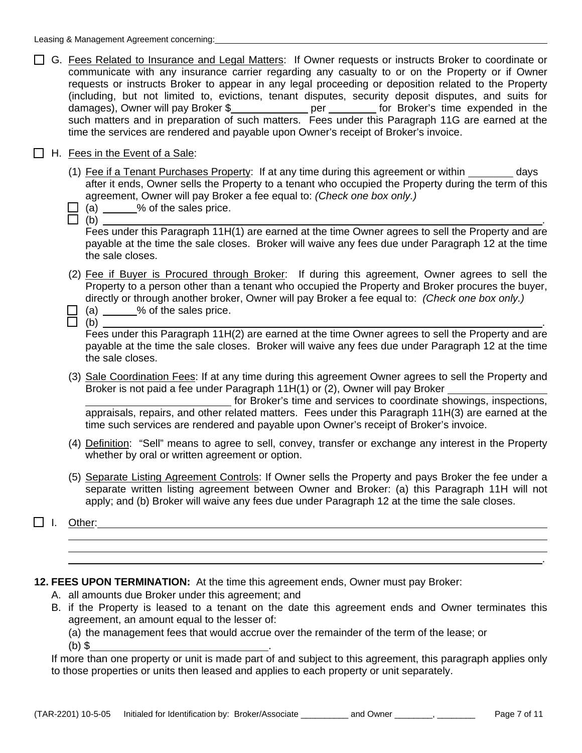- □ G. Fees Related to Insurance and Legal Matters: If Owner requests or instructs Broker to coordinate or communicate with any insurance carrier regarding any casualty to or on the Property or if Owner requests or instructs Broker to appear in any legal proceeding or deposition related to the Property (including, but not limited to, evictions, tenant disputes, security deposit disputes, and suits for damages), Owner will pay Broker \$\_\_\_\_\_\_\_\_\_\_\_\_\_\_ per \_\_\_\_\_\_\_\_ for Broker's time expended in the such matters and in preparation of such matters. Fees under this Paragraph 11G are earned at the time the services are rendered and payable upon Owner's receipt of Broker's invoice.
- $\Box$  H. Fees in the Event of a Sale:
	- (1) Fee if a Tenant Purchases Property: If at any time during this agreement or within  $\sim$  days after it ends, Owner sells the Property to a tenant who occupied the Property during the term of this agreement, Owner will pay Broker a fee equal to: *(Check one box only.)*
	- $\Box$  (a) % of the sales price.
- $\Box$  (b)  $\Box$

 Fees under this Paragraph 11H(1) are earned at the time Owner agrees to sell the Property and are payable at the time the sale closes. Broker will waive any fees due under Paragraph 12 at the time the sale closes.

- (2) Fee if Buyer is Procured through Broker: If during this agreement, Owner agrees to sell the Property to a person other than a tenant who occupied the Property and Broker procures the buyer, directly or through another broker, Owner will pay Broker a fee equal to: *(Check one box only.)*
- $\Box$  (a) % of the sales price.
- $\Box$  (b)  $\Box$

 Fees under this Paragraph 11H(2) are earned at the time Owner agrees to sell the Property and are payable at the time the sale closes. Broker will waive any fees due under Paragraph 12 at the time the sale closes.

- (3) Sale Coordination Fees: If at any time during this agreement Owner agrees to sell the Property and Broker is not paid a fee under Paragraph 11H(1) or (2), Owner will pay Broker for Broker's time and services to coordinate showings, inspections, appraisals, repairs, and other related matters. Fees under this Paragraph 11H(3) are earned at the time such services are rendered and payable upon Owner's receipt of Broker's invoice.
- (4) Definition: "Sell" means to agree to sell, convey, transfer or exchange any interest in the Property whether by oral or written agreement or option.
- (5) Separate Listing Agreement Controls: If Owner sells the Property and pays Broker the fee under a separate written listing agreement between Owner and Broker: (a) this Paragraph 11H will not apply; and (b) Broker will waive any fees due under Paragraph 12 at the time the sale closes.

<u>. Andre de la contrada de la contrada de la contrada de la contrada de la contrada de la contrada de la contra</u>

I. Other:  $\overline{a}$ 

**12. FEES UPON TERMINATION:** At the time this agreement ends, Owner must pay Broker:

- A. all amounts due Broker under this agreement; and
- B. if the Property is leased to a tenant on the date this agreement ends and Owner terminates this agreement, an amount equal to the lesser of:

(a) the management fees that would accrue over the remainder of the term of the lease; or

(b) \$ .

If more than one property or unit is made part of and subject to this agreement, this paragraph applies only to those properties or units then leased and applies to each property or unit separately.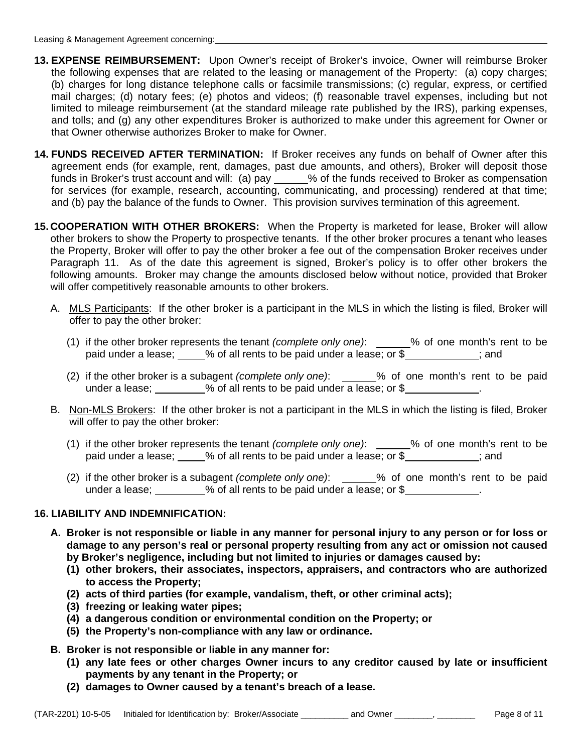- **13. EXPENSE REIMBURSEMENT:** Upon Owner's receipt of Broker's invoice, Owner will reimburse Broker the following expenses that are related to the leasing or management of the Property: (a) copy charges; (b) charges for long distance telephone calls or facsimile transmissions; (c) regular, express, or certified mail charges; (d) notary fees; (e) photos and videos; (f) reasonable travel expenses, including but not limited to mileage reimbursement (at the standard mileage rate published by the IRS), parking expenses, and tolls; and (g) any other expenditures Broker is authorized to make under this agreement for Owner or that Owner otherwise authorizes Broker to make for Owner.
- **14. FUNDS RECEIVED AFTER TERMINATION:** If Broker receives any funds on behalf of Owner after this agreement ends (for example, rent, damages, past due amounts, and others), Broker will deposit those funds in Broker's trust account and will: (a) pay \_\_\_\_\_% of the funds received to Broker as compensation for services (for example, research, accounting, communicating, and processing) rendered at that time; and (b) pay the balance of the funds to Owner. This provision survives termination of this agreement.
- **15. COOPERATION WITH OTHER BROKERS:** When the Property is marketed for lease, Broker will allow other brokers to show the Property to prospective tenants. If the other broker procures a tenant who leases the Property, Broker will offer to pay the other broker a fee out of the compensation Broker receives under Paragraph 11. As of the date this agreement is signed, Broker's policy is to offer other brokers the following amounts. Broker may change the amounts disclosed below without notice, provided that Broker will offer competitively reasonable amounts to other brokers.
	- A. MLS Participants: If the other broker is a participant in the MLS in which the listing is filed, Broker will offer to pay the other broker:
- (1) if the other broker represents the tenant *(complete only one)*: \_\_\_\_\_\_% of one month's rent to be paid under a lease;  $\_\_\_\%$  of all rents to be paid under a lease; or  $\frac{1}{2}$   $\_\_\_\_\_\_\_\_$ ; and
	- (2) if the other broker is a subagent *(complete only one)*: \_\_\_\_\_% of one month's rent to be paid under a lease;  $\frac{1}{2}$  of all rents to be paid under a lease; or \$
	- B. Non-MLS Brokers: If the other broker is not a participant in the MLS in which the listing is filed, Broker will offer to pay the other broker:
- (1) if the other broker represents the tenant *(complete only one)*: \_\_\_\_\_\_% of one month's rent to be paid under a lease;  $\_\_\_\%$  of all rents to be paid under a lease; or  $\frac{1}{2}$   $\_\_\_\_\_\_\_\_$ ; and
	- (2) if the other broker is a subagent *(complete only one)*: % of one month's rent to be paid under a lease;  $\frac{1}{2}$  % of all rents to be paid under a lease; or \$

## **16. LIABILITY AND INDEMNIFICATION:**

- **A. Broker is not responsible or liable in any manner for personal injury to any person or for loss or damage to any person's real or personal property resulting from any act or omission not caused by Broker's negligence, including but not limited to injuries or damages caused by:** 
	- **(1) other brokers, their associates, inspectors, appraisers, and contractors who are authorized to access the Property;**
	- **(2) acts of third parties (for example, vandalism, theft, or other criminal acts);**
	- **(3) freezing or leaking water pipes;**
	- **(4) a dangerous condition or environmental condition on the Property; or**
	- **(5) the Property's non-compliance with any law or ordinance.**
- **B. Broker is not responsible or liable in any manner for:** 
	- **(1) any late fees or other charges Owner incurs to any creditor caused by late or insufficient payments by any tenant in the Property; or**
	- **(2) damages to Owner caused by a tenant's breach of a lease.**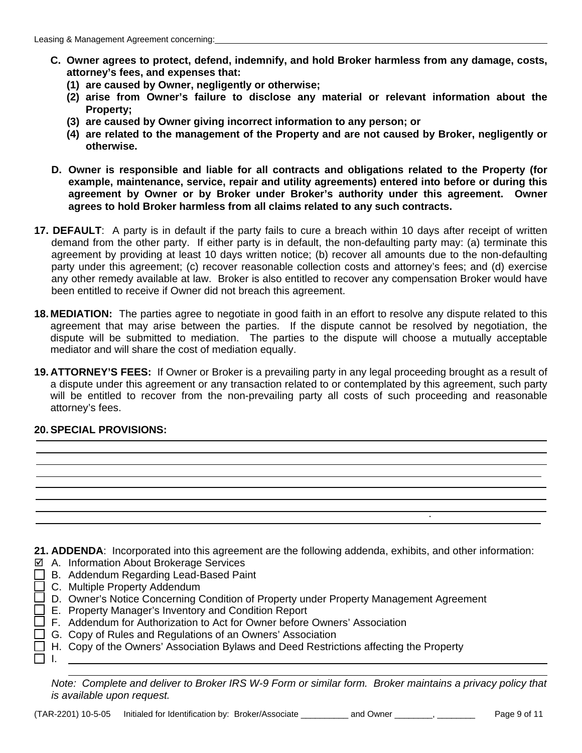- **C. Owner agrees to protect, defend, indemnify, and hold Broker harmless from any damage, costs, attorney's fees, and expenses that:**
	- **(1) are caused by Owner, negligently or otherwise;**
	- **(2) arise from Owner's failure to disclose any material or relevant information about the Property;**
	- **(3) are caused by Owner giving incorrect information to any person; or**
	- **(4) are related to the management of the Property and are not caused by Broker, negligently or otherwise.**
- **D. Owner is responsible and liable for all contracts and obligations related to the Property (for example, maintenance, service, repair and utility agreements) entered into before or during this agreement by Owner or by Broker under Broker's authority under this agreement. Owner agrees to hold Broker harmless from all claims related to any such contracts.**
- **17. DEFAULT**: A party is in default if the party fails to cure a breach within 10 days after receipt of written demand from the other party. If either party is in default, the non-defaulting party may: (a) terminate this agreement by providing at least 10 days written notice; (b) recover all amounts due to the non-defaulting party under this agreement; (c) recover reasonable collection costs and attorney's fees; and (d) exercise any other remedy available at law. Broker is also entitled to recover any compensation Broker would have been entitled to receive if Owner did not breach this agreement.
- **18. MEDIATION:** The parties agree to negotiate in good faith in an effort to resolve any dispute related to this agreement that may arise between the parties. If the dispute cannot be resolved by negotiation, the dispute will be submitted to mediation. The parties to the dispute will choose a mutually acceptable mediator and will share the cost of mediation equally.
- **19. ATTORNEY'S FEES:** If Owner or Broker is a prevailing party in any legal proceeding brought as a result of a dispute under this agreement or any transaction related to or contemplated by this agreement, such party will be entitled to recover from the non-prevailing party all costs of such proceeding and reasonable attorney's fees.

## **20. SPECIAL PROVISIONS:**

**21. ADDENDA**: Incorporated into this agreement are the following addenda, exhibits, and other information:

- A. Information About Brokerage Services
- B. Addendum Regarding Lead-Based Paint
- □ C. Multiple Property Addendum
- $\Box$  D. Owner's Notice Concerning Condition of Property under Property Management Agreement
- E. Property Manager's Inventory and Condition Report
- $\square$  F. Addendum for Authorization to Act for Owner before Owners' Association
- □ G. Copy of Rules and Regulations of an Owners' Association
- $\Box$  H. Copy of the Owners' Association Bylaws and Deed Restrictions affecting the Property  $\Box$  I.

*Note: Complete and deliver to Broker IRS W-9 Form or similar form. Broker maintains a privacy policy that is available upon request.*

.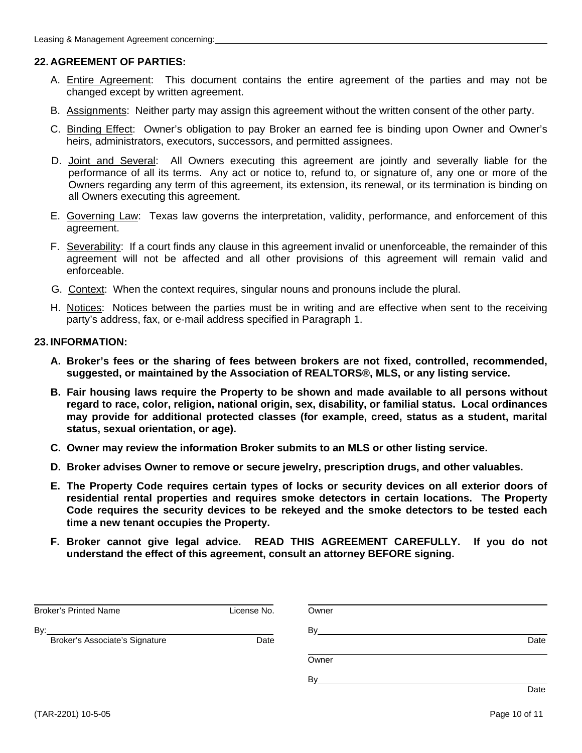### **22. AGREEMENT OF PARTIES:**

- A. Entire Agreement: This document contains the entire agreement of the parties and may not be changed except by written agreement.
- B. Assignments: Neither party may assign this agreement without the written consent of the other party.
- C. Binding Effect: Owner's obligation to pay Broker an earned fee is binding upon Owner and Owner's heirs, administrators, executors, successors, and permitted assignees.
- D. Joint and Several: All Owners executing this agreement are jointly and severally liable for the performance of all its terms. Any act or notice to, refund to, or signature of, any one or more of the Owners regarding any term of this agreement, its extension, its renewal, or its termination is binding on all Owners executing this agreement.
- E. Governing Law: Texas law governs the interpretation, validity, performance, and enforcement of this agreement.
- F. Severability: If a court finds any clause in this agreement invalid or unenforceable, the remainder of this agreement will not be affected and all other provisions of this agreement will remain valid and enforceable.
- G. Context: When the context requires, singular nouns and pronouns include the plural.
- H. Notices: Notices between the parties must be in writing and are effective when sent to the receiving party's address, fax, or e-mail address specified in Paragraph 1.

#### **23. INFORMATION:**

- **A. Broker's fees or the sharing of fees between brokers are not fixed, controlled, recommended, suggested, or maintained by the Association of REALTORS®, MLS, or any listing service.**
- **B. Fair housing laws require the Property to be shown and made available to all persons without regard to race, color, religion, national origin, sex, disability, or familial status. Local ordinances may provide for additional protected classes (for example, creed, status as a student, marital status, sexual orientation, or age).**
- **C. Owner may review the information Broker submits to an MLS or other listing service.**
- **D. Broker advises Owner to remove or secure jewelry, prescription drugs, and other valuables.**
- **E. The Property Code requires certain types of locks or security devices on all exterior doors of residential rental properties and requires smoke detectors in certain locations. The Property Code requires the security devices to be rekeyed and the smoke detectors to be tested each time a new tenant occupies the Property.**
- **F. Broker cannot give legal advice. READ THIS AGREEMENT CAREFULLY. If you do not understand the effect of this agreement, consult an attorney BEFORE signing.**

| <b>Broker's Printed Name</b>   | License No. | Owner |      |
|--------------------------------|-------------|-------|------|
| By:                            |             | By    |      |
| Broker's Associate's Signature | Date        |       | Date |
|                                |             | Owner |      |
|                                |             | Bv    |      |
|                                |             |       | Date |